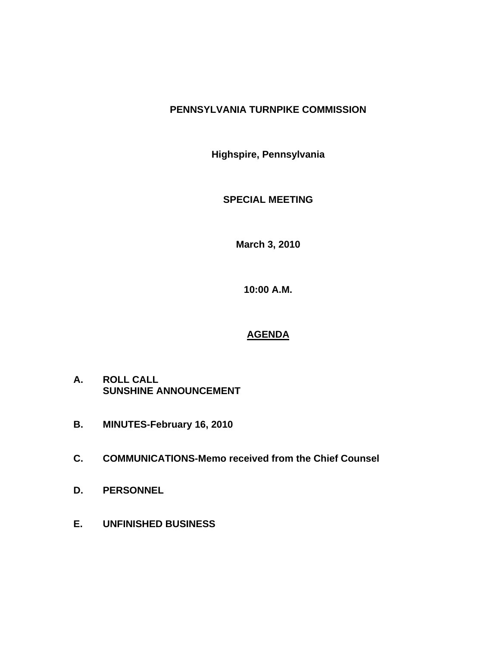## **PENNSYLVANIA TURNPIKE COMMISSION**

**Highspire, Pennsylvania** 

**SPECIAL MEETING** 

**March 3, 2010** 

**10:00 A.M.** 

## **AGENDA**

- **A. ROLL CALL SUNSHINE ANNOUNCEMENT**
- **B. MINUTES-February 16, 2010**
- **C. COMMUNICATIONS-Memo received from the Chief Counsel**
- **D. PERSONNEL**
- **E. UNFINISHED BUSINESS**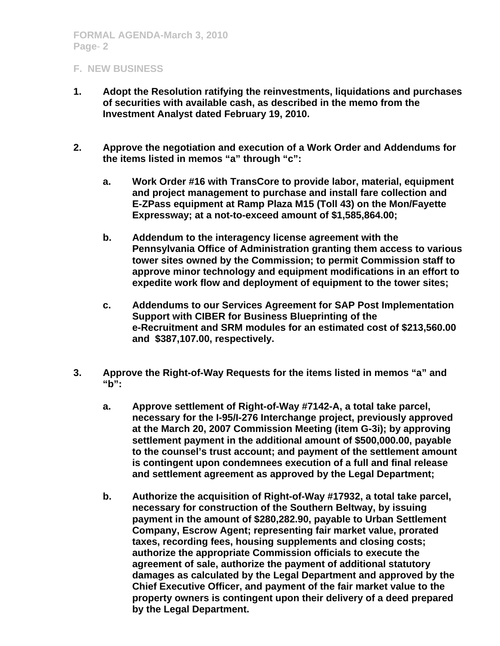## **F. NEW BUSINESS**

- **1. Adopt the Resolution ratifying the reinvestments, liquidations and purchases of securities with available cash, as described in the memo from the Investment Analyst dated February 19, 2010.**
- **2. Approve the negotiation and execution of a Work Order and Addendums for the items listed in memos "a" through "c":** 
	- **a. Work Order #16 with TransCore to provide labor, material, equipment and project management to purchase and install fare collection and E-ZPass equipment at Ramp Plaza M15 (Toll 43) on the Mon/Fayette Expressway; at a not-to-exceed amount of \$1,585,864.00;**
	- **b. Addendum to the interagency license agreement with the Pennsylvania Office of Administration granting them access to various tower sites owned by the Commission; to permit Commission staff to approve minor technology and equipment modifications in an effort to expedite work flow and deployment of equipment to the tower sites;**
	- **c. Addendums to our Services Agreement for SAP Post Implementation Support with CIBER for Business Blueprinting of the e-Recruitment and SRM modules for an estimated cost of \$213,560.00 and \$387,107.00, respectively.**
- **3. Approve the Right-of-Way Requests for the items listed in memos "a" and "b":** 
	- **a. Approve settlement of Right-of-Way #7142-A, a total take parcel, necessary for the I-95/I-276 Interchange project, previously approved at the March 20, 2007 Commission Meeting (item G-3i); by approving settlement payment in the additional amount of \$500,000.00, payable to the counsel's trust account; and payment of the settlement amount is contingent upon condemnees execution of a full and final release and settlement agreement as approved by the Legal Department;**
	- **b. Authorize the acquisition of Right-of-Way #17932, a total take parcel, necessary for construction of the Southern Beltway, by issuing payment in the amount of \$280,282.90, payable to Urban Settlement Company, Escrow Agent; representing fair market value, prorated taxes, recording fees, housing supplements and closing costs; authorize the appropriate Commission officials to execute the agreement of sale, authorize the payment of additional statutory damages as calculated by the Legal Department and approved by the Chief Executive Officer, and payment of the fair market value to the property owners is contingent upon their delivery of a deed prepared by the Legal Department.**